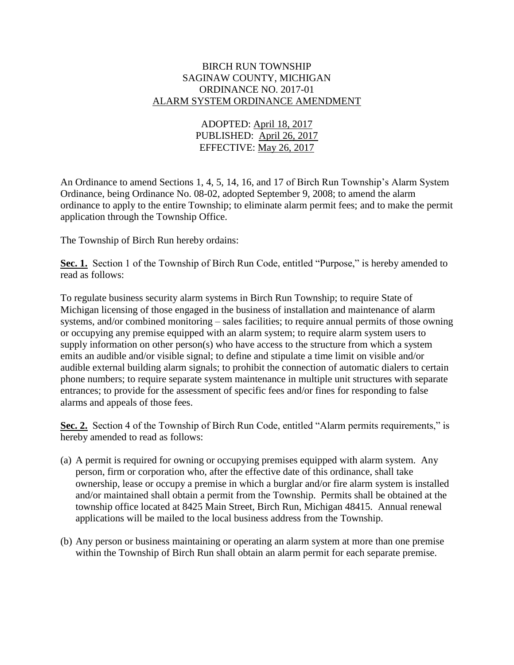### BIRCH RUN TOWNSHIP SAGINAW COUNTY, MICHIGAN ORDINANCE NO. 2017-01 ALARM SYSTEM ORDINANCE AMENDMENT

# ADOPTED: April 18, 2017 PUBLISHED: April 26, 2017 EFFECTIVE: May 26, 2017

An Ordinance to amend Sections 1, 4, 5, 14, 16, and 17 of Birch Run Township's Alarm System Ordinance, being Ordinance No. 08-02, adopted September 9, 2008; to amend the alarm ordinance to apply to the entire Township; to eliminate alarm permit fees; and to make the permit application through the Township Office.

The Township of Birch Run hereby ordains:

Sec. 1. Section 1 of the Township of Birch Run Code, entitled "Purpose," is hereby amended to read as follows:

To regulate business security alarm systems in Birch Run Township; to require State of Michigan licensing of those engaged in the business of installation and maintenance of alarm systems, and/or combined monitoring – sales facilities; to require annual permits of those owning or occupying any premise equipped with an alarm system; to require alarm system users to supply information on other person(s) who have access to the structure from which a system emits an audible and/or visible signal; to define and stipulate a time limit on visible and/or audible external building alarm signals; to prohibit the connection of automatic dialers to certain phone numbers; to require separate system maintenance in multiple unit structures with separate entrances; to provide for the assessment of specific fees and/or fines for responding to false alarms and appeals of those fees.

Sec. 2. Section 4 of the Township of Birch Run Code, entitled "Alarm permits requirements," is hereby amended to read as follows:

- (a) A permit is required for owning or occupying premises equipped with alarm system. Any person, firm or corporation who, after the effective date of this ordinance, shall take ownership, lease or occupy a premise in which a burglar and/or fire alarm system is installed and/or maintained shall obtain a permit from the Township. Permits shall be obtained at the township office located at 8425 Main Street, Birch Run, Michigan 48415. Annual renewal applications will be mailed to the local business address from the Township.
- (b) Any person or business maintaining or operating an alarm system at more than one premise within the Township of Birch Run shall obtain an alarm permit for each separate premise.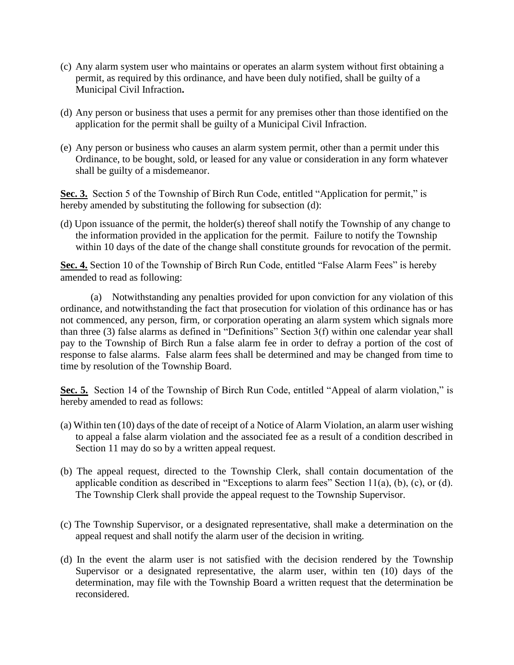- (c) Any alarm system user who maintains or operates an alarm system without first obtaining a permit, as required by this ordinance, and have been duly notified, shall be guilty of a Municipal Civil Infraction**.**
- (d) Any person or business that uses a permit for any premises other than those identified on the application for the permit shall be guilty of a Municipal Civil Infraction.
- (e) Any person or business who causes an alarm system permit, other than a permit under this Ordinance, to be bought, sold, or leased for any value or consideration in any form whatever shall be guilty of a misdemeanor.

Sec. 3. Section 5 of the Township of Birch Run Code, entitled "Application for permit," is hereby amended by substituting the following for subsection (d):

(d) Upon issuance of the permit, the holder(s) thereof shall notify the Township of any change to the information provided in the application for the permit. Failure to notify the Township within 10 days of the date of the change shall constitute grounds for revocation of the permit.

**Sec. 4.** Section 10 of the Township of Birch Run Code, entitled "False Alarm Fees" is hereby amended to read as following:

(a) Notwithstanding any penalties provided for upon conviction for any violation of this ordinance, and notwithstanding the fact that prosecution for violation of this ordinance has or has not commenced, any person, firm, or corporation operating an alarm system which signals more than three (3) false alarms as defined in "Definitions" Section 3(f) within one calendar year shall pay to the Township of Birch Run a false alarm fee in order to defray a portion of the cost of response to false alarms. False alarm fees shall be determined and may be changed from time to time by resolution of the Township Board.

**Sec. 5.** Section 14 of the Township of Birch Run Code, entitled "Appeal of alarm violation," is hereby amended to read as follows:

- (a) Within ten (10) days of the date of receipt of a Notice of Alarm Violation, an alarm user wishing to appeal a false alarm violation and the associated fee as a result of a condition described in Section 11 may do so by a written appeal request.
- (b) The appeal request, directed to the Township Clerk, shall contain documentation of the applicable condition as described in "Exceptions to alarm fees" Section 11(a), (b), (c), or (d). The Township Clerk shall provide the appeal request to the Township Supervisor.
- (c) The Township Supervisor, or a designated representative, shall make a determination on the appeal request and shall notify the alarm user of the decision in writing.
- (d) In the event the alarm user is not satisfied with the decision rendered by the Township Supervisor or a designated representative, the alarm user, within ten (10) days of the determination, may file with the Township Board a written request that the determination be reconsidered.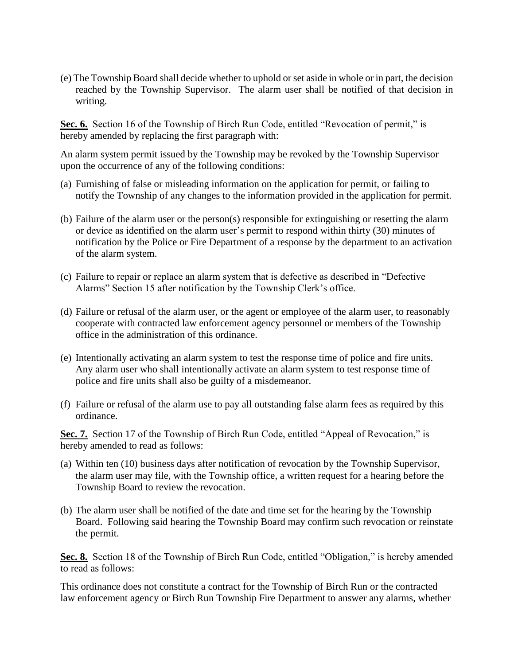(e) The Township Board shall decide whether to uphold or set aside in whole or in part, the decision reached by the Township Supervisor. The alarm user shall be notified of that decision in writing.

Sec. 6. Section 16 of the Township of Birch Run Code, entitled "Revocation of permit," is hereby amended by replacing the first paragraph with:

An alarm system permit issued by the Township may be revoked by the Township Supervisor upon the occurrence of any of the following conditions:

- (a) Furnishing of false or misleading information on the application for permit, or failing to notify the Township of any changes to the information provided in the application for permit.
- (b) Failure of the alarm user or the person(s) responsible for extinguishing or resetting the alarm or device as identified on the alarm user's permit to respond within thirty (30) minutes of notification by the Police or Fire Department of a response by the department to an activation of the alarm system.
- (c) Failure to repair or replace an alarm system that is defective as described in "Defective Alarms" Section 15 after notification by the Township Clerk's office.
- (d) Failure or refusal of the alarm user, or the agent or employee of the alarm user, to reasonably cooperate with contracted law enforcement agency personnel or members of the Township office in the administration of this ordinance.
- (e) Intentionally activating an alarm system to test the response time of police and fire units. Any alarm user who shall intentionally activate an alarm system to test response time of police and fire units shall also be guilty of a misdemeanor.
- (f) Failure or refusal of the alarm use to pay all outstanding false alarm fees as required by this ordinance.

Sec. 7. Section 17 of the Township of Birch Run Code, entitled "Appeal of Revocation," is hereby amended to read as follows:

- (a) Within ten (10) business days after notification of revocation by the Township Supervisor, the alarm user may file, with the Township office, a written request for a hearing before the Township Board to review the revocation.
- (b) The alarm user shall be notified of the date and time set for the hearing by the Township Board. Following said hearing the Township Board may confirm such revocation or reinstate the permit.

**Sec. 8.** Section 18 of the Township of Birch Run Code, entitled "Obligation," is hereby amended to read as follows:

This ordinance does not constitute a contract for the Township of Birch Run or the contracted law enforcement agency or Birch Run Township Fire Department to answer any alarms, whether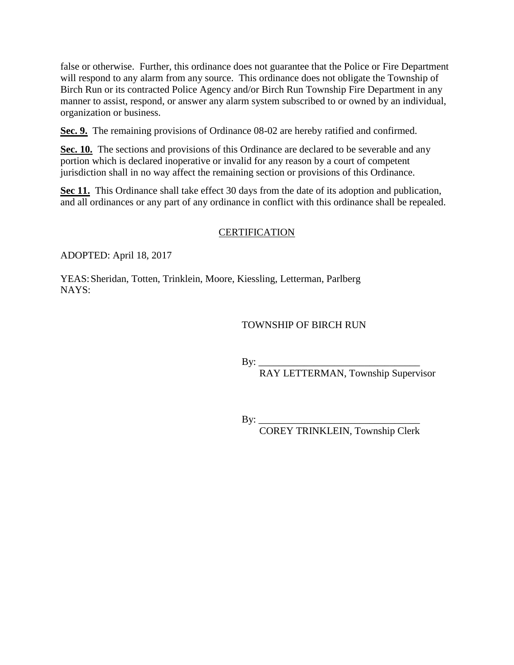false or otherwise. Further, this ordinance does not guarantee that the Police or Fire Department will respond to any alarm from any source. This ordinance does not obligate the Township of Birch Run or its contracted Police Agency and/or Birch Run Township Fire Department in any manner to assist, respond, or answer any alarm system subscribed to or owned by an individual, organization or business.

**Sec. 9.** The remaining provisions of Ordinance 08-02 are hereby ratified and confirmed.

**Sec. 10.** The sections and provisions of this Ordinance are declared to be severable and any portion which is declared inoperative or invalid for any reason by a court of competent jurisdiction shall in no way affect the remaining section or provisions of this Ordinance.

**Sec 11.** This Ordinance shall take effect 30 days from the date of its adoption and publication, and all ordinances or any part of any ordinance in conflict with this ordinance shall be repealed.

# **CERTIFICATION**

ADOPTED: April 18, 2017

YEAS:Sheridan, Totten, Trinklein, Moore, Kiessling, Letterman, Parlberg NAYS:

# TOWNSHIP OF BIRCH RUN

By:  $\frac{y}{y}$ 

RAY LETTERMAN, Township Supervisor

By:  $\_\_$ 

COREY TRINKLEIN, Township Clerk